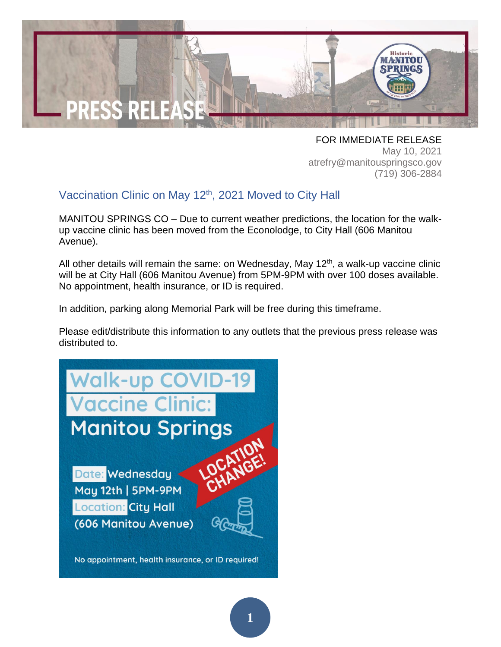

FOR IMMEDIATE RELEASE May 10, 2021 atrefry@manitouspringsco.gov (719) 306-2884

## Vaccination Clinic on May 12<sup>th</sup>, 2021 Moved to City Hall

MANITOU SPRINGS CO – Due to current weather predictions, the location for the walkup vaccine clinic has been moved from the Econolodge, to City Hall (606 Manitou Avenue).

All other details will remain the same: on Wednesday, May  $12<sup>th</sup>$ , a walk-up vaccine clinic will be at City Hall (606 Manitou Avenue) from 5PM-9PM with over 100 doses available. No appointment, health insurance, or ID is required.

In addition, parking along Memorial Park will be free during this timeframe.

Please edit/distribute this information to any outlets that the previous press release was distributed to.